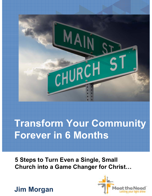

# **Transform Your Community Forever in 6 Months**

**5 Steps to Turn Even a Single, Small Church into a Game Changer for Christ**



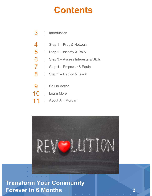## **Contents**

#### 3 **Introduction**

- 4 | Step 1 – Pray & Network
- 5 | Step 2 – Identify & Rally
- 6 | Step 3 – Assess Interests & Skills
- 7 | Step 4 – Empower & Equip
- 8 | Step 5 – Deploy & Track
- 9 Call to Action
- 10 Learn More
- 11 | About Jim Morgan



### **Title of Ebook 2 Transform Your Community Forever in 6 Months 2**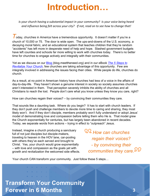## **Introduction**

*Is your church having a substantial impact in your community? Is your voice being heard and influence being felt across your city? If not, read on to see how to change that!*

*T* oday, churches in America have a tremendous opportunity. It doesn't matter if you're a church of 10,000 or 75. The door is wide open. The ups-and-downs of the U.S. economy, a decaying moral fabric, and an educational system that teaches children that they're random "accidents" has left more in desperate need of help and hope. Slashed government budgets have left counties and schools far more willing to work with churches today. There's no better time for churches to engage actively and integrally with their communities.

Yet as we discuss on our Blog (blog.meettheneed.org) and in our eBook *The 5 Steps to Revitalize Your Church*, few churches are taking advantage of this opportunity. Few are integrally involved in addressing the issues facing their cities. While people do life, churches do church.

As a result, at no point in American history have churches had less of a voice in the affairs of day-to-day-life. They haven't shown a genuine interest in society so society assumes churches aren't interested in them. That perception severely inhibits the ability of churches and all Christians to reach the lost. People don't care what you know unless they know you care, right?

How can churches regain their voices? – by convincing their communities they care.

That sounds like a daunting task. Where do you begin? It has to start with church leaders. If they don't push and challenge members to devote more time to caring and sharing, they most likely won't. And if they don't disciple, members probably won't fully understand or adopt Jesus' model of demonstrating love and compassion before telling them who He is. That model grew the Church exponentially for centuries, but has largely been abandoned in recent decades. Today, we separate words from actions – trying in effect to "outpreach" Jesus.

Instead, imagine a church producing a sanctuary full of not just disciples but disciple-makers, traveling to heaven in the HOV lane, car-pooling with others they've each served and brought to Christ. Yes, your church would grow exponentially – with love and compassion as the goals yet with growth and revitalization the welcomed side effects. *How can churches regain their voices? - by convincing their communities they care.*

Your church CAN transform your community. Just follow these 5 steps...

## **Title of Ebook 3 Transform Your Community Forever in 6 Months 3**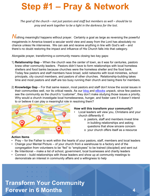## **Step #1 – Pray & Network**

*The goal of the church – not just pastors and staff but members as well – should be to pray and work together to be a light in the darkness for the lost.*

**Nothing meaningful happens without prayer. Certainly a goal as large as reversing the powerful** megatrends in America toward a secular world view and away from the Lord has absolutely no chance unless He intervenes. We can ask and receive anything in line with God's will – and there's no doubt restoring the impact and influence of His Church falls into that category.

Alongside prayer, transforming a community means closing two key gaps:

- 1) **Relationship Gap** When the church was the center of town, as it was for centuries, pastors knew other community leaders. Pastors didn't have to form relationships with local homeless shelters and food banks because churches were the homeless shelter and the food bank. Today few pastors and staff members have broad, solid networks with local ministries, school principals, city council members, and pastors of other churches. Relationship-building takes time and most pastors and staff are too busy running their church and being there for members.
- 2) **Knowledge Gap** For that same reason, most pastors and staff don't know the social issues in their communities well, nor its critical needs. As our **blog and eBooks** unpack, since few pastors see the community as the church's "customer", they don't make studying those issues a priority. Why would a church investigate local homelessness, hunger, and foster care if it doesn't intend to or believe it can play a meaningful role in resolving them?



### **How will this transform your community?**

- Local leaders will view you, Christians and your church differently if:
	- o pastors, staff and members invest time in building relationships and asking questions that show sincere concern
	- o your church offers itself as a resource

### **Action Items**

- Pray for the Father to work within the hearts of your pastors, staff, members and local leaders
- Change your Mental Picture of your church from a warehouse to a factory and of the congregation from volunteers to be "fed" to "employees" to be trained (discipled) and sent out
- Be Intentional make a list of school, government, local businesses and charity leaders
- Connect build relationships with those leaders and show up at community meetings to
- demonstrate an interest in community affairs and a willingness to help

## **Title of Ebook 4 Transform Your Community Forever in 6 Months 4**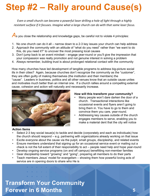# **Step #2 – Rally around Cause(s)**

*Even a small church can become a powerful laser drilling a hole of light through a highly resistant surface if it focuses. Imagine what a large church can do with that same laser focus.*

As you close the relationship and knowledge gaps, be careful not to violate 4 principles:

- 1. No one church can do it all narrow down to a 2-3 key issues your church can help address
- 2. Approach the community with an attitude of "what do you need" rather than "we want to do this, do you need it?" to uncover the most pressing local causes
- 3. Don't jump back to an event mindset engage year-round or you'll give the impression that your compassion was really promotion and not genuine interest in solving a problem
- 4. Always remember, building trust is about prolonged relational contact with the community

How many churches have led development of tangible programs to address big-picture social ills in their cities? Again, because churches don't recognize the community as the "customer", they are often guilty of making themselves (the institution and their members) the "cause". Leaders in business, politics and all other venues know that an outside cause unites and motivates much better than an internal one. If a church rallies around a compelling external cause, cohesion and action will naturally and necessarily increase.



#### **How will this transform your community?**

- Many people won't dare darken the door of a church. Transactional interactions like occasional events and flyers aren't going to bring them in. You have to go to them and convince them you care, year-round.
- Addressing key causes outside of the church engages members to serve, enabling you to make a material dent that the city will notice

### **Action Items**

- Select 2-3 key social issue(s) to tackle and decide (corporately and each as individuals) how the church should respond – e.g. partnering with organizations already working on that issue
- Excite everyone about the cause via the pulpit, small groups, discipleship, and related events
- Ensure members understand that signing up for an occasional service event or mailing out a check is not the full extent of their responsibility to act – people need help and hope year-round
- Develop ongoing service programs (on and off campus) benefitting non-member families
- Gear discipleship toward "growing" and "going", preparing all members to do their parts
- Teach members Jesus' model for evangelism showing them how powerful loving acts of service are in opening doors to share who He is

## **Title of Ebook 5 Transform Your Community Forever in 6 Months 5**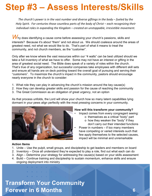## **Step #3 – Assess Interests/Skills**

*The church's power is in the vast number and diverse giftings in the body – fueled by the Holy Spirit. For centuries those countless parts of the body of Christ – each recognizing their individual roles in expanding the Kingdom – created an unstoppable, irresistible movement.*

Why does identifying a cause come before assessing your church's passions, skills and interests? Because it's about "them" and not about us. We should coalesce around the areas of greatest need, not what we would like to do. That's part of what it means to treat the community, and not church members, as the "customer".

Only after we know where the vast resources within our "4 walls" can be best utilized should we take a full inventory of what we have to offer. Some may not have an interest or gifting in the area of greatest social need. The Bible does speak of a variety of roles within the church. That's true of any organization, but successful companies take employees with different skill sets and ensure all hands are on deck pointing toward the overall goal of pursuing and serving their "customers". To maximize the church's impact in the community, pastors should encourage nearly everyone in the church to consider:

- 1. What role they can play in advancing the church's mission around the key cause(s)
- 2. How they can develop greater skills and passion for the cause of reaching the community
- 3. The Great Commission as an obligation of great urgency, not an option

As that process unfolds, the Lord will show your church how so many latent capabilities lying dormant in your pews align perfectly with the most pressing concerns in your community.



### **How will this transform your community?**

- Impact comes from every congregant seeing:
	- o themselves as a critical "body" part
	- o how they weaken the "body" if they don't carry out their intended functions
- Power in numbers if too many members have competing or varied interests such that few apply themselves to the selected causes, impact will be minimal and unremarkable

### **Action Items**

- 1. Unite Use the pulpit, small groups, and discipleship to get leaders and members on board
- 2. Inventory Once all understand they're expected to play a role, find out what each can do
- 3. Align Determine your strategy for addressing the cause(s) based on your skills assessment
- 4. Build Continue training and discipleship to sustain momentum, enhance skills and ensure ongoing deployment into ministry

## **Title of Ebook 6 Transform Your Community Forever in 6 Months 6**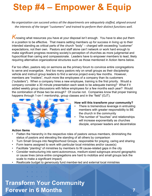## **Step #4 – Empower & Equip**

*No organization can succeed unless all the departments are adequately staffed, aligned around the interests of the target "customers" and trained to perform their distinct functions well.*

**K**nowing what resources you have at your disposal isn't enough. You have to also put them in a position to be effective. That means setting members up for success in living up to their intended standing as critical parts of the church "body" – charged with exceeding "customer" expectations, not their own. Pastors and staff alone can't network or work hard enough to make significant progress reversing society's perception of churches as more judgmental and hypocritical than caring and compassionate. Leaders have to empower members to lead, likely requiring alternative organizational structures such as those mentioned in Action Items below.

Far too often, pastors rely on sermons as the primary forum to convince entire congregations to serve and evangelize. And too many pastors rely on small groups as their discipleship vehicle and instruct group leaders to find a service project every few months. However, members are "insiders", much more like employees of a company than its customers ("outsiders"). When a company hires a new employee, training is the first priority. Would a company consider a 30 minute presentation each week to be adequate training? What if it added weekly group discussions with fellow employees for a few months each year? Would the combination of those two be enough? Of course not. Companies know that proper training happens through 1-on-1 mentorship, group classes and in the "field" (OJT).



#### **How will this transform your community?**

- There is tremendous leverage in entrusting members with greater responsibility to BE the church in the community
- The number of "touches" and relationships will increase exponentially as churches disciple, empower leaders and decentralize

### **Action Items**

- Flatten the hierarchy in the respective roles of pastors versus members, diminishing the status of pastors and elevating the standing of all others by comparison
- Turn Small Groups into Neighborhood Groups, responsible for praying, caring and sharing
- Form teams assigned to work with particular local ministries and/or cause(s)
- Facilitate "planting" of ministries by members to fill cause-related gaps in the city
- Consider restructuring into semi-autonomous, medium-sized subgroups around geographic or cause lines (since entire congregations are hard to mobilize and small groups lack the scale to make a significant impact)
- Reallocate budget to generously fund member-led and external local ministries

## **Title of Ebook 7 Transform Your Community Forever in 6 Months 7**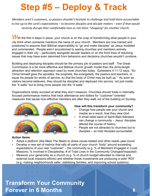## **Step #5 – Deploy & Track**

*Members aren't customers, so pastors shouldn't hesitate to challenge and hold them accountable to live up to the Lord's expectations – to become disciples and disciple makers – even if that would severely disrupt their comfortable lives or risk them "shopping" for another church.*

With the first 4 steps in place, your church is on the cusp of transforming what people in your city think when someone mentions the name of your church. Members are now trained and positioned to assume their Biblical responsibility to "go and make disciples" as Jesus modeled and commanded. People aren't accustomed to seeing churches and members actively engaged in their city – particularly alongside secular leaders or on the front lines of resolving issues that may have even stemmed from behaviors and decisions churches wouldn't condone.

Building and deploying disciples should be the primary job of pastors and staff. The Great Commission is a far more effective and Biblical church growth model than the arms-length attraction and retention approach used by most churches today. Ephesians 4:11-12 says, "So Christ himself gave the apostles, the prophets, the evangelists, the pastors and teachers, to equip his people for works of service, so that the body of Christ may be built up." As soon as visitors become believers, they should be discipled and deployed into service, not just inside the "4 walls" but to bring more people into the "4 walls".

Organizations rarely succeed at what they don't measure. Churches should trade in internallyfocused performance metrics that track attendance and dollars for "customer"-oriented measures that gauge how effective members are after they walk out of the building on Sunday.



#### **How will this transform your community?**

- Change how people see your church and maybe as a result, how they view God
- A small rebel band of Spirit-filled followers can change a community – Jesus' disciples altered the course of history
- People are not attracted to churches but to disciples – so hold disciples accountable

### **Action Items**

- Adopt a platform (like Meet The Need) to share cause-related and other needs year-round
- Develop a new set of metrics that rally all parts of your church "body" around exceeding expectations of your real "customer" – the community (e.g. % of Members Engaged in Local Missions; % Involved in Discipleship; # of Total Lives in the Community Changed/Impacted)
- Measure your generosity as a church (e.g. % of church budget allocated to internal and external local missions efforts) and whether those investments are producing a solid "ROI" (e.g. making neighborhoods safer, stabilizing families, and improving school systems)

## **Title of Ebook 8 Transform Your Community Forever in 6 Months 8**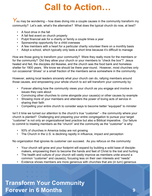## **Call to Action**

You may be wondering – how does diving into a couple causes in the community transform my community? Let's ask, what's the alternative? What does the typical church do now, at best?

- A food drive in the fall
- A fall fest event on church property
- Pulpit financial ask for a charity or family a couple times a year
- Sponsorship opportunity for a child overseas
- A few members with a heart for a particular charity volunteer there on a monthly basis
- Adopt a school, which typically only lasts a short time because it's difficult to manage

How are those going to transform your community? Were they really more for the members or for the community? Did they allow your church or your members to "check the box"? Jesus healed and fed, the disciples did likewise, and the church was the food bank and homeless shelter for 1900 years. We know we should be there year-round. However, most churches only run occasional "drives" or a small fraction of the members serve somewhere in the community.

However, asking local leaders sincerely what your church can do, rallying members around those causes, and empowering your whole church to act will transform your community by:

- Forever altering how the community views your church as you engage and involve in issues they care about
- Convincing other churches to come alongside your cause(s) or other causes by example
- Showing more of your members and attenders the power of loving acts of service in sharing their faith
- Compelling your entire church to consider ways to become better "equipped" to minister

Isn't it time we turned our attention to the church's true "customer" – the community where your church is planted? Challenging and preparing your entire congregation to pursue your target "customer" is not only an organizational best practice but also a Biblical imperative. Our failure to commit to treating members as the "church" and the community as the "customer" is why:

- 93% of churches in America today are not growing
- The Church in the U.S. is declining rapidly in influence, impact and perception

No organization that ignores its customer can succeed. As you refocus on the community:

- Your church will grow and your footprint will expand by building a solid base of disciplemakers, empowering them to become the hands and feet of Christ to the lost and hurting
- The health and culture of your church will vastly improve as members unite around a common "customer" and cause(s), focusing less on their own interests and "needs"
- Evidence shows members are more generous with churches that are (in turn) generous

## **Title of Ebook 9 Transform Your Community Forever in 6 Months 9**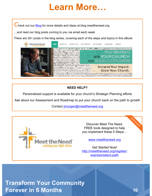## **Learn More**

Check out our **Blog** for more details and ideas at blog.meettheneed.org

...and read our blog posts coming to you via email each week

There are 30+ posts in the blog series, covering each of the steps and topics in this eBook



### **NEED HELP?**

Personalized support is available for your church's Strategic Planning efforts

Ask about our Assessment and Roadmap to put your church back on the path to growth

Contact jmorgan@meettheneed.org



Discover Meet The Need, FREE tools designed to help you implement these 5 Steps...

www.meettheneed.org

Get Started Now! http://meettheneed.org/register/ express/select-path

## **Title of Ebook 10 Transform Your Community Forever in 6 Months 10**

and a strategic control of the state and a state of the con**SPOTLIGHT**